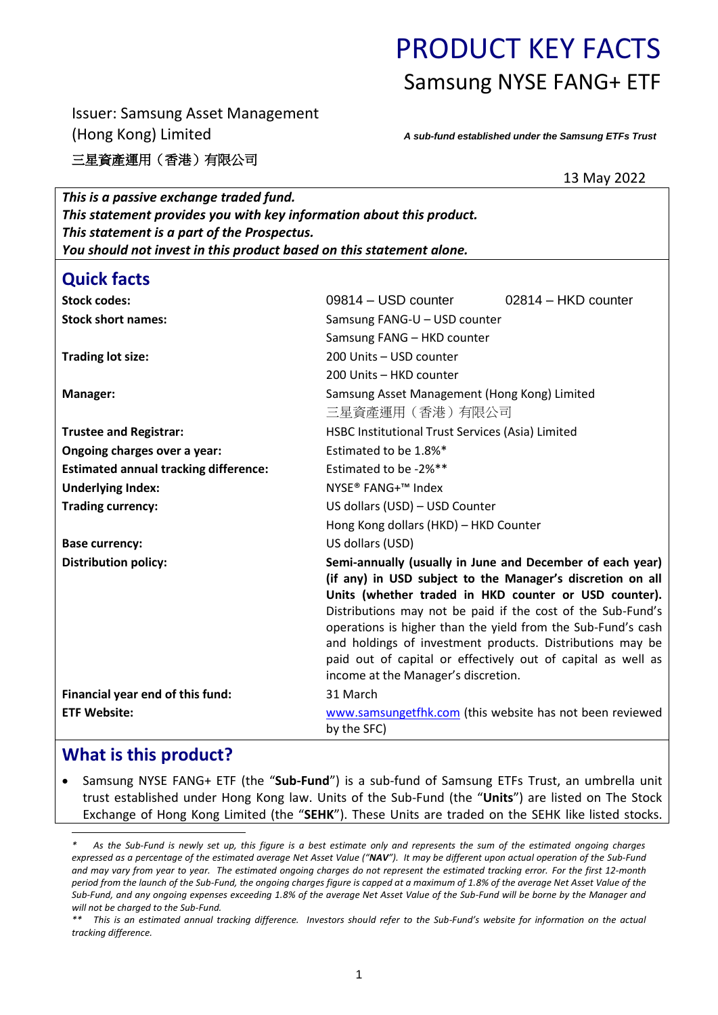# PRODUCT KEY FACTS Samsung NYSE FANG+ ETF

Issuer: Samsung Asset Management (Hong Kong) Limited

三星資產運用(香港)有限公司

*A sub-fund established under the Samsung ETFs Trust*

13 May 2022

| This is a passive exchange traded fund.                              |                                                                                                                                                                                                                                                                                                                                                                                                                                                                                     |  |
|----------------------------------------------------------------------|-------------------------------------------------------------------------------------------------------------------------------------------------------------------------------------------------------------------------------------------------------------------------------------------------------------------------------------------------------------------------------------------------------------------------------------------------------------------------------------|--|
| This statement provides you with key information about this product. |                                                                                                                                                                                                                                                                                                                                                                                                                                                                                     |  |
| This statement is a part of the Prospectus.                          |                                                                                                                                                                                                                                                                                                                                                                                                                                                                                     |  |
| You should not invest in this product based on this statement alone. |                                                                                                                                                                                                                                                                                                                                                                                                                                                                                     |  |
| <b>Quick facts</b>                                                   |                                                                                                                                                                                                                                                                                                                                                                                                                                                                                     |  |
| <b>Stock codes:</b>                                                  | 09814 - USD counter<br>02814 - HKD counter                                                                                                                                                                                                                                                                                                                                                                                                                                          |  |
| <b>Stock short names:</b>                                            | Samsung FANG-U - USD counter                                                                                                                                                                                                                                                                                                                                                                                                                                                        |  |
|                                                                      | Samsung FANG - HKD counter                                                                                                                                                                                                                                                                                                                                                                                                                                                          |  |
| <b>Trading lot size:</b>                                             | 200 Units - USD counter                                                                                                                                                                                                                                                                                                                                                                                                                                                             |  |
|                                                                      | 200 Units - HKD counter                                                                                                                                                                                                                                                                                                                                                                                                                                                             |  |
| Manager:                                                             | Samsung Asset Management (Hong Kong) Limited                                                                                                                                                                                                                                                                                                                                                                                                                                        |  |
|                                                                      | 三星資產運用 (香港) 有限公司                                                                                                                                                                                                                                                                                                                                                                                                                                                                    |  |
| <b>Trustee and Registrar:</b>                                        | HSBC Institutional Trust Services (Asia) Limited                                                                                                                                                                                                                                                                                                                                                                                                                                    |  |
| Ongoing charges over a year:                                         | Estimated to be 1.8%*                                                                                                                                                                                                                                                                                                                                                                                                                                                               |  |
| <b>Estimated annual tracking difference:</b>                         | Estimated to be -2%**                                                                                                                                                                                                                                                                                                                                                                                                                                                               |  |
| <b>Underlying Index:</b>                                             | NYSE <sup>®</sup> FANG+ <sup>™</sup> Index                                                                                                                                                                                                                                                                                                                                                                                                                                          |  |
| <b>Trading currency:</b>                                             | US dollars (USD) - USD Counter                                                                                                                                                                                                                                                                                                                                                                                                                                                      |  |
|                                                                      | Hong Kong dollars (HKD) - HKD Counter                                                                                                                                                                                                                                                                                                                                                                                                                                               |  |
| <b>Base currency:</b>                                                | US dollars (USD)                                                                                                                                                                                                                                                                                                                                                                                                                                                                    |  |
| <b>Distribution policy:</b>                                          | Semi-annually (usually in June and December of each year)<br>(if any) in USD subject to the Manager's discretion on all<br>Units (whether traded in HKD counter or USD counter).<br>Distributions may not be paid if the cost of the Sub-Fund's<br>operations is higher than the yield from the Sub-Fund's cash<br>and holdings of investment products. Distributions may be<br>paid out of capital or effectively out of capital as well as<br>income at the Manager's discretion. |  |
| Financial year end of this fund:                                     | 31 March                                                                                                                                                                                                                                                                                                                                                                                                                                                                            |  |
| <b>ETF Website:</b>                                                  | www.samsungetfhk.com (this website has not been reviewed<br>by the SFC)                                                                                                                                                                                                                                                                                                                                                                                                             |  |

# **What is this product?**

 Samsung NYSE FANG+ ETF (the "**Sub-Fund**") is a sub-fund of Samsung ETFs Trust, an umbrella unit trust established under Hong Kong law. Units of the Sub-Fund (the "**Units**") are listed on The Stock Exchange of Hong Kong Limited (the "**SEHK**"). These Units are traded on the SEHK like listed stocks.

 $\overline{a}$ *\* As the Sub-Fund is newly set up, this figure is a best estimate only and represents the sum of the estimated ongoing charges expressed as a percentage of the estimated average Net Asset Value ("NAV"). It may be different upon actual operation of the Sub-Fund and may vary from year to year. The estimated ongoing charges do not represent the estimated tracking error. For the first 12-month period from the launch of the Sub-Fund, the ongoing charges figure is capped at a maximum of 1.8% of the average Net Asset Value of the Sub-Fund, and any ongoing expenses exceeding 1.8% of the average Net Asset Value of the Sub-Fund will be borne by the Manager and will not be charged to the Sub-Fund.*

*<sup>\*\*</sup> This is an estimated annual tracking difference. Investors should refer to the Sub-Fund's website for information on the actual tracking difference.*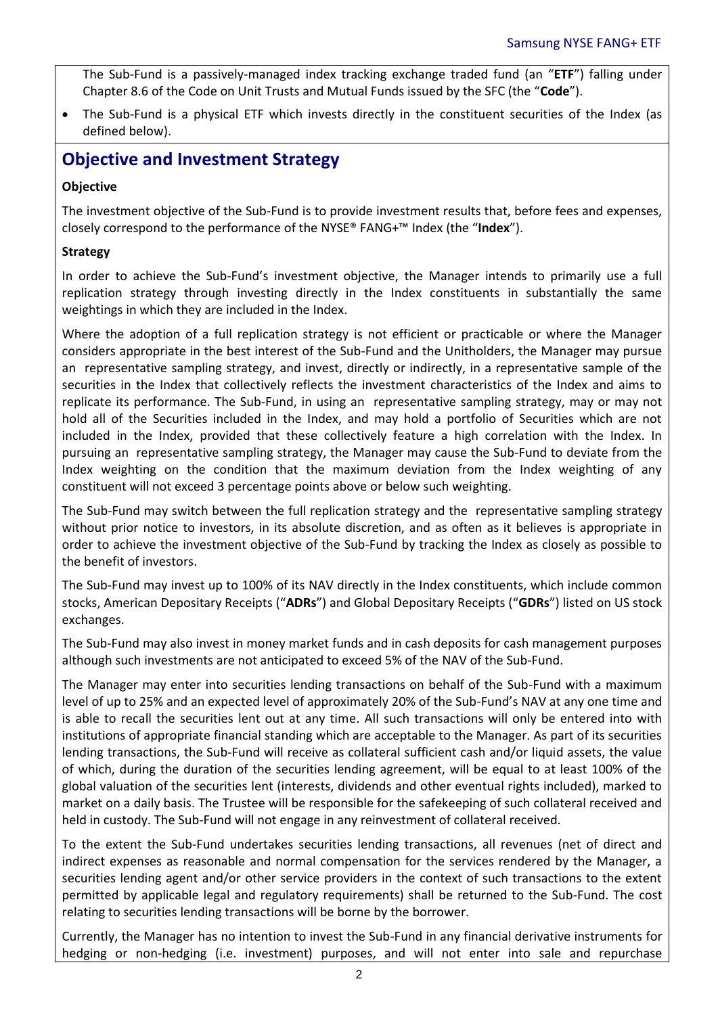The Sub-Fund is a passively-managed index tracking exchange traded fund (an "**ETF**") falling under Chapter 8.6 of the Code on Unit Trusts and Mutual Funds issued by the SFC (the "**Code**").

 The Sub-Fund is a physical ETF which invests directly in the constituent securities of the Index (as defined below).

### **Objective and Investment Strategy**

#### **Objective**

The investment objective of the Sub-Fund is to provide investment results that, before fees and expenses, closely correspond to the performance of the NYSE® FANG+™ Index (the "**Index**").

#### **Strategy**

In order to achieve the Sub-Fund's investment objective, the Manager intends to primarily use a full replication strategy through investing directly in the Index constituents in substantially the same weightings in which they are included in the Index.

Where the adoption of a full replication strategy is not efficient or practicable or where the Manager considers appropriate in the best interest of the Sub-Fund and the Unitholders, the Manager may pursue an representative sampling strategy, and invest, directly or indirectly, in a representative sample of the securities in the Index that collectively reflects the investment characteristics of the Index and aims to replicate its performance. The Sub-Fund, in using an representative sampling strategy, may or may not hold all of the Securities included in the Index, and may hold a portfolio of Securities which are not included in the Index, provided that these collectively feature a high correlation with the Index. In pursuing an representative sampling strategy, the Manager may cause the Sub-Fund to deviate from the Index weighting on the condition that the maximum deviation from the Index weighting of any constituent will not exceed 3 percentage points above or below such weighting.

The Sub-Fund may switch between the full replication strategy and the representative sampling strategy without prior notice to investors, in its absolute discretion, and as often as it believes is appropriate in order to achieve the investment objective of the Sub-Fund by tracking the Index as closely as possible to the benefit of investors.

The Sub-Fund may invest up to 100% of its NAV directly in the Index constituents, which include common stocks, American Depositary Receipts ("**ADRs**") and Global Depositary Receipts ("**GDRs**") listed on US stock exchanges.

The Sub-Fund may also invest in money market funds and in cash deposits for cash management purposes although such investments are not anticipated to exceed 5% of the NAV of the Sub-Fund.

The Manager may enter into securities lending transactions on behalf of the Sub-Fund with a maximum level of up to 25% and an expected level of approximately 20% of the Sub-Fund's NAV at any one time and is able to recall the securities lent out at any time. All such transactions will only be entered into with institutions of appropriate financial standing which are acceptable to the Manager. As part of its securities lending transactions, the Sub-Fund will receive as collateral sufficient cash and/or liquid assets, the value of which, during the duration of the securities lending agreement, will be equal to at least 100% of the global valuation of the securities lent (interests, dividends and other eventual rights included), marked to market on a daily basis. The Trustee will be responsible for the safekeeping of such collateral received and held in custody. The Sub-Fund will not engage in any reinvestment of collateral received.

To the extent the Sub-Fund undertakes securities lending transactions, all revenues (net of direct and indirect expenses as reasonable and normal compensation for the services rendered by the Manager, a securities lending agent and/or other service providers in the context of such transactions to the extent permitted by applicable legal and regulatory requirements) shall be returned to the Sub-Fund. The cost relating to securities lending transactions will be borne by the borrower.

Currently, the Manager has no intention to invest the Sub-Fund in any financial derivative instruments for hedging or non-hedging (i.e. investment) purposes, and will not enter into sale and repurchase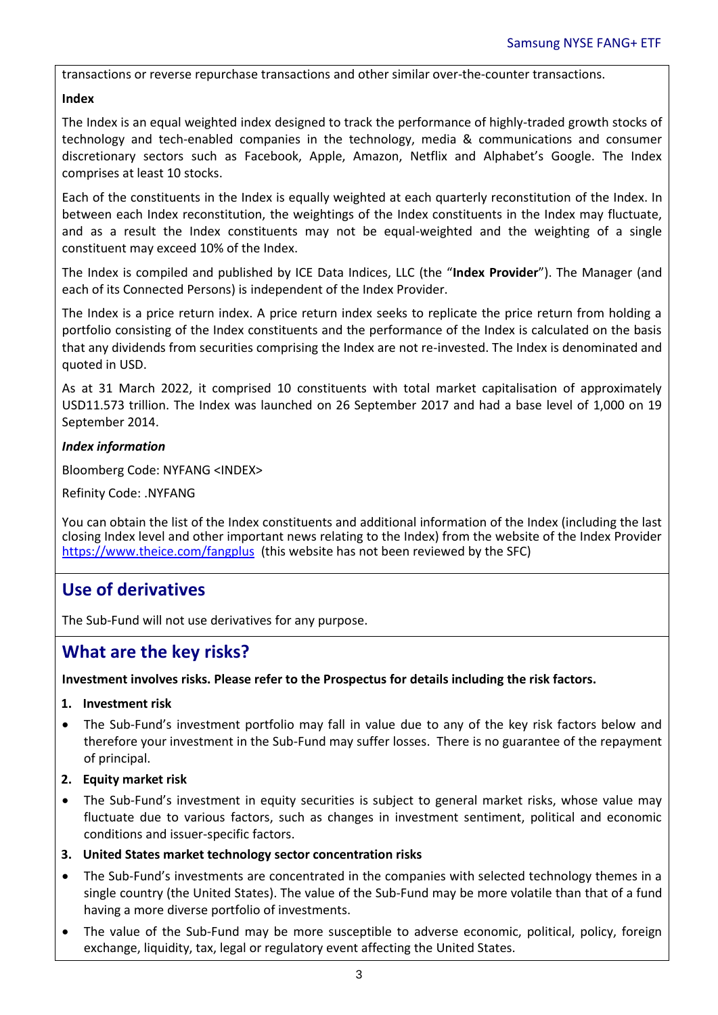transactions or reverse repurchase transactions and other similar over-the-counter transactions.

#### **Index**

The Index is an equal weighted index designed to track the performance of highly-traded growth stocks of technology and tech-enabled companies in the technology, media & communications and consumer discretionary sectors such as Facebook, Apple, Amazon, Netflix and Alphabet's Google. The Index comprises at least 10 stocks.

Each of the constituents in the Index is equally weighted at each quarterly reconstitution of the Index. In between each Index reconstitution, the weightings of the Index constituents in the Index may fluctuate, and as a result the Index constituents may not be equal-weighted and the weighting of a single constituent may exceed 10% of the Index.

The Index is compiled and published by ICE Data Indices, LLC (the "**Index Provider**"). The Manager (and each of its Connected Persons) is independent of the Index Provider.

The Index is a price return index. A price return index seeks to replicate the price return from holding a portfolio consisting of the Index constituents and the performance of the Index is calculated on the basis that any dividends from securities comprising the Index are not re-invested. The Index is denominated and quoted in USD.

As at 31 March 2022, it comprised 10 constituents with total market capitalisation of approximately USD11.573 trillion. The Index was launched on 26 September 2017 and had a base level of 1,000 on 19 September 2014.

#### *Index information*

Bloomberg Code: NYFANG <INDEX>

Refinity Code: .NYFANG

You can obtain the list of the Index constituents and additional information of the Index (including the last closing Index level and other important news relating to the Index) from the website of the Index Provider <https://www.theice.com/fangplus>(this website has not been reviewed by the SFC)

# **Use of derivatives**

The Sub-Fund will not use derivatives for any purpose.

### **What are the key risks?**

#### **Investment involves risks. Please refer to the Prospectus for details including the risk factors.**

- **1. Investment risk**
- The Sub-Fund's investment portfolio may fall in value due to any of the key risk factors below and therefore your investment in the Sub-Fund may suffer losses. There is no guarantee of the repayment of principal.
- **2. Equity market risk**
- The Sub-Fund's investment in equity securities is subject to general market risks, whose value may fluctuate due to various factors, such as changes in investment sentiment, political and economic conditions and issuer-specific factors.
- **3. United States market technology sector concentration risks**
- The Sub-Fund's investments are concentrated in the companies with selected technology themes in a single country (the United States). The value of the Sub-Fund may be more volatile than that of a fund having a more diverse portfolio of investments.
- The value of the Sub-Fund may be more susceptible to adverse economic, political, policy, foreign exchange, liquidity, tax, legal or regulatory event affecting the United States.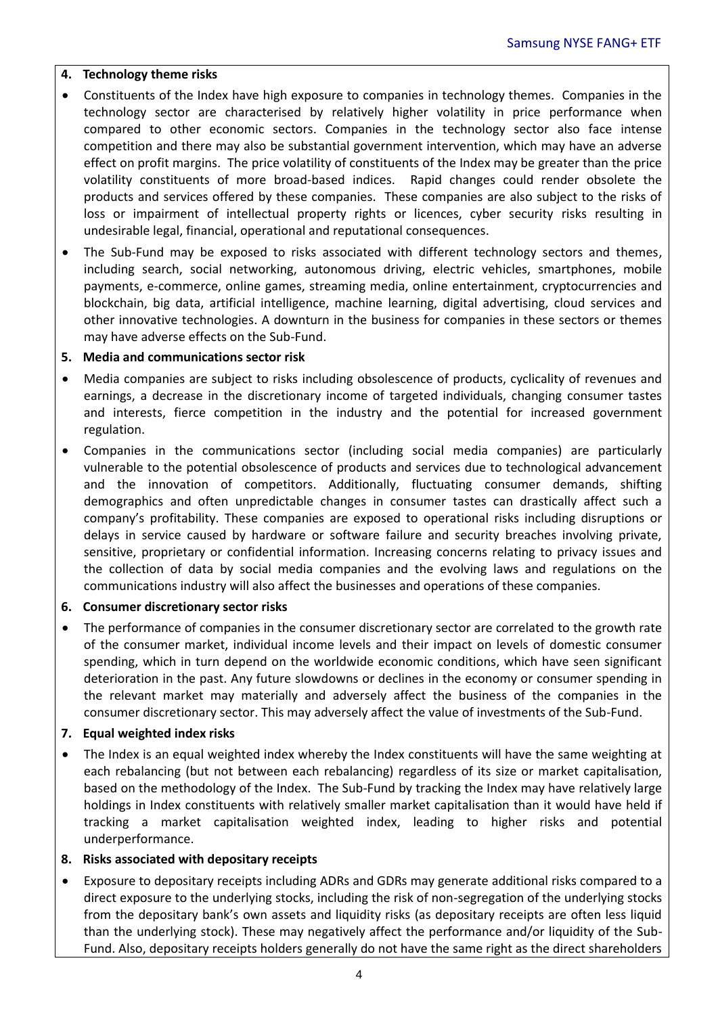#### **4. Technology theme risks**

- Constituents of the Index have high exposure to companies in technology themes. Companies in the technology sector are characterised by relatively higher volatility in price performance when compared to other economic sectors. Companies in the technology sector also face intense competition and there may also be substantial government intervention, which may have an adverse effect on profit margins. The price volatility of constituents of the Index may be greater than the price volatility constituents of more broad-based indices. Rapid changes could render obsolete the products and services offered by these companies. These companies are also subject to the risks of loss or impairment of intellectual property rights or licences, cyber security risks resulting in undesirable legal, financial, operational and reputational consequences.
- The Sub-Fund may be exposed to risks associated with different technology sectors and themes, including search, social networking, autonomous driving, electric vehicles, smartphones, mobile payments, e-commerce, online games, streaming media, online entertainment, cryptocurrencies and blockchain, big data, artificial intelligence, machine learning, digital advertising, cloud services and other innovative technologies. A downturn in the business for companies in these sectors or themes may have adverse effects on the Sub-Fund.

#### **5. Media and communications sector risk**

- Media companies are subject to risks including obsolescence of products, cyclicality of revenues and earnings, a decrease in the discretionary income of targeted individuals, changing consumer tastes and interests, fierce competition in the industry and the potential for increased government regulation.
- Companies in the communications sector (including social media companies) are particularly vulnerable to the potential obsolescence of products and services due to technological advancement and the innovation of competitors. Additionally, fluctuating consumer demands, shifting demographics and often unpredictable changes in consumer tastes can drastically affect such a company's profitability. These companies are exposed to operational risks including disruptions or delays in service caused by hardware or software failure and security breaches involving private, sensitive, proprietary or confidential information. Increasing concerns relating to privacy issues and the collection of data by social media companies and the evolving laws and regulations on the communications industry will also affect the businesses and operations of these companies.

#### **6. Consumer discretionary sector risks**

• The performance of companies in the consumer discretionary sector are correlated to the growth rate of the consumer market, individual income levels and their impact on levels of domestic consumer spending, which in turn depend on the worldwide economic conditions, which have seen significant deterioration in the past. Any future slowdowns or declines in the economy or consumer spending in the relevant market may materially and adversely affect the business of the companies in the consumer discretionary sector. This may adversely affect the value of investments of the Sub-Fund.

#### **7. Equal weighted index risks**

 The Index is an equal weighted index whereby the Index constituents will have the same weighting at each rebalancing (but not between each rebalancing) regardless of its size or market capitalisation, based on the methodology of the Index. The Sub-Fund by tracking the Index may have relatively large holdings in Index constituents with relatively smaller market capitalisation than it would have held if tracking a market capitalisation weighted index, leading to higher risks and potential underperformance.

#### **8. Risks associated with depositary receipts**

 Exposure to depositary receipts including ADRs and GDRs may generate additional risks compared to a direct exposure to the underlying stocks, including the risk of non-segregation of the underlying stocks from the depositary bank's own assets and liquidity risks (as depositary receipts are often less liquid than the underlying stock). These may negatively affect the performance and/or liquidity of the Sub-Fund. Also, depositary receipts holders generally do not have the same right as the direct shareholders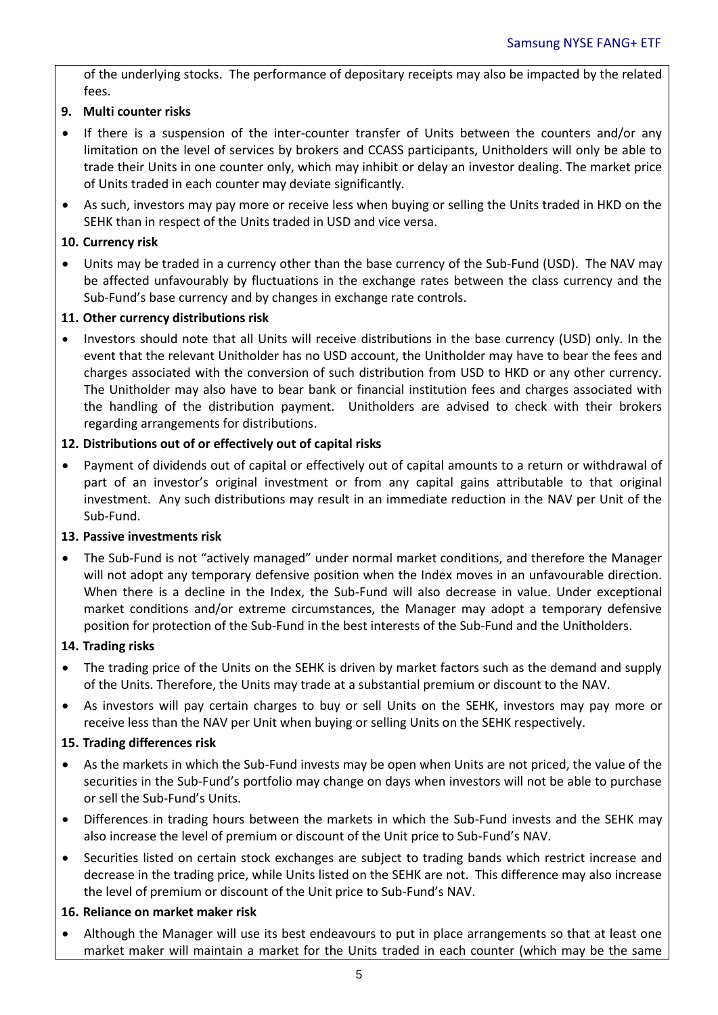of the underlying stocks. The performance of depositary receipts may also be impacted by the related fees.

#### **9. Multi counter risks**

- If there is a suspension of the inter-counter transfer of Units between the counters and/or any limitation on the level of services by brokers and CCASS participants, Unitholders will only be able to trade their Units in one counter only, which may inhibit or delay an investor dealing. The market price of Units traded in each counter may deviate significantly.
- As such, investors may pay more or receive less when buying or selling the Units traded in HKD on the SEHK than in respect of the Units traded in USD and vice versa.

#### **10. Currency risk**

 Units may be traded in a currency other than the base currency of the Sub-Fund (USD). The NAV may be affected unfavourably by fluctuations in the exchange rates between the class currency and the Sub-Fund's base currency and by changes in exchange rate controls.

#### **11. Other currency distributions risk**

 Investors should note that all Units will receive distributions in the base currency (USD) only. In the event that the relevant Unitholder has no USD account, the Unitholder may have to bear the fees and charges associated with the conversion of such distribution from USD to HKD or any other currency. The Unitholder may also have to bear bank or financial institution fees and charges associated with the handling of the distribution payment. Unitholders are advised to check with their brokers regarding arrangements for distributions.

#### **12. Distributions out of or effectively out of capital risks**

 Payment of dividends out of capital or effectively out of capital amounts to a return or withdrawal of part of an investor's original investment or from any capital gains attributable to that original investment. Any such distributions may result in an immediate reduction in the NAV per Unit of the Sub-Fund.

#### **13. Passive investments risk**

 The Sub-Fund is not "actively managed" under normal market conditions, and therefore the Manager will not adopt any temporary defensive position when the Index moves in an unfavourable direction. When there is a decline in the Index, the Sub-Fund will also decrease in value. Under exceptional market conditions and/or extreme circumstances, the Manager may adopt a temporary defensive position for protection of the Sub-Fund in the best interests of the Sub-Fund and the Unitholders.

#### **14. Trading risks**

- The trading price of the Units on the SEHK is driven by market factors such as the demand and supply of the Units. Therefore, the Units may trade at a substantial premium or discount to the NAV.
- As investors will pay certain charges to buy or sell Units on the SEHK, investors may pay more or receive less than the NAV per Unit when buying or selling Units on the SEHK respectively.

#### **15. Trading differences risk**

- As the markets in which the Sub-Fund invests may be open when Units are not priced, the value of the securities in the Sub-Fund's portfolio may change on days when investors will not be able to purchase or sell the Sub-Fund's Units.
- Differences in trading hours between the markets in which the Sub-Fund invests and the SEHK may also increase the level of premium or discount of the Unit price to Sub-Fund's NAV.
- Securities listed on certain stock exchanges are subject to trading bands which restrict increase and decrease in the trading price, while Units listed on the SEHK are not. This difference may also increase the level of premium or discount of the Unit price to Sub-Fund's NAV.

#### **16. Reliance on market maker risk**

 Although the Manager will use its best endeavours to put in place arrangements so that at least one market maker will maintain a market for the Units traded in each counter (which may be the same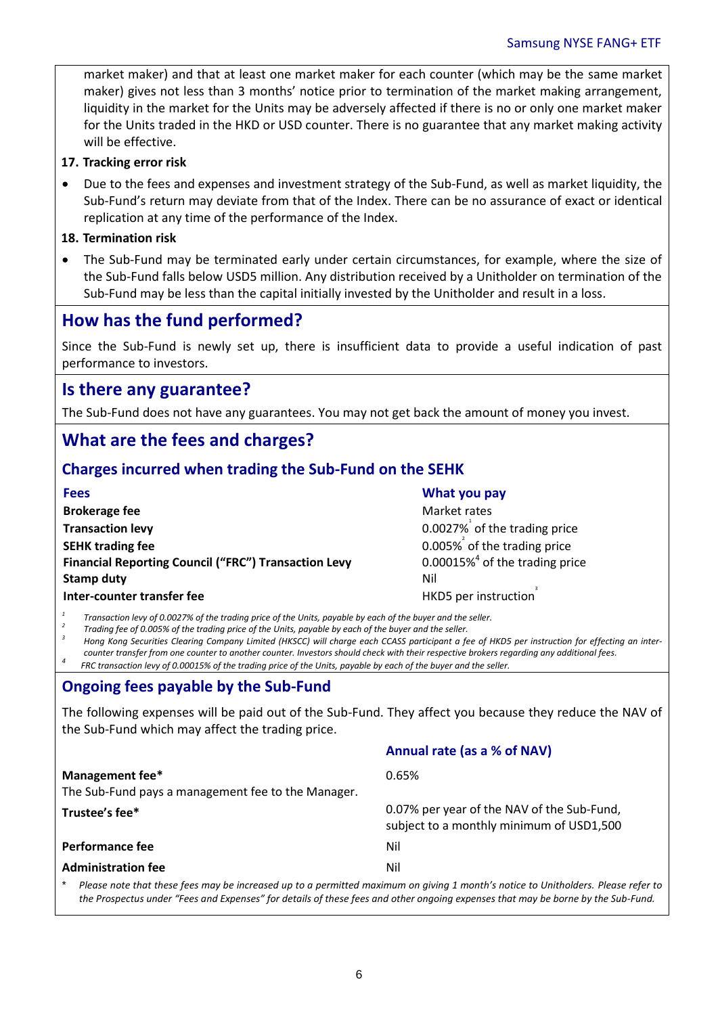market maker) and that at least one market maker for each counter (which may be the same market maker) gives not less than 3 months' notice prior to termination of the market making arrangement, liquidity in the market for the Units may be adversely affected if there is no or only one market maker for the Units traded in the HKD or USD counter. There is no guarantee that any market making activity will be effective.

#### **17. Tracking error risk**

 Due to the fees and expenses and investment strategy of the Sub-Fund, as well as market liquidity, the Sub-Fund's return may deviate from that of the Index. There can be no assurance of exact or identical replication at any time of the performance of the Index.

#### **18. Termination risk**

 The Sub-Fund may be terminated early under certain circumstances, for example, where the size of the Sub-Fund falls below USD5 million. Any distribution received by a Unitholder on termination of the Sub-Fund may be less than the capital initially invested by the Unitholder and result in a loss.

### **How has the fund performed?**

Since the Sub-Fund is newly set up, there is insufficient data to provide a useful indication of past performance to investors.

### **Is there any guarantee?**

The Sub-Fund does not have any guarantees. You may not get back the amount of money you invest.

### **What are the fees and charges?**

#### **Charges incurred when trading the Sub-Fund on the SEHK**

| <b>Fees</b>                                                 | What you pay                                  |
|-------------------------------------------------------------|-----------------------------------------------|
| <b>Brokerage fee</b>                                        | Market rates                                  |
| <b>Transaction levy</b>                                     | 0.0027% of the trading price                  |
| <b>SEHK trading fee</b>                                     | $0.005\%$ of the trading price                |
| <b>Financial Reporting Council ("FRC") Transaction Levy</b> | $0.00015\%$ <sup>4</sup> of the trading price |
| <b>Stamp duty</b>                                           | Nil                                           |
| Inter-counter transfer fee                                  | HKD5 per instruction                          |

*1 Transaction levy of 0.0027% of the trading price of the Units, payable by each of the buyer and the seller.*

*2 Trading fee of 0.005% of the trading price of the Units, payable by each of the buyer and the seller.*

*3 Hong Kong Securities Clearing Company Limited (HKSCC) will charge each CCASS participant a fee of HKD5 per instruction for effecting an intercounter transfer from one counter to another counter. Investors should check with their respective brokers regarding any additional fees.*

*<sup>4</sup>FRC transaction levy of 0.00015% of the trading price of the Units, payable by each of the buyer and the seller.*

#### **Ongoing fees payable by the Sub-Fund**

The following expenses will be paid out of the Sub-Fund. They affect you because they reduce the NAV of the Sub-Fund which may affect the trading price.

|                                                                                                                                   | Annual rate (as a % of NAV)                                                            |
|-----------------------------------------------------------------------------------------------------------------------------------|----------------------------------------------------------------------------------------|
| Management fee*<br>The Sub-Fund pays a management fee to the Manager.                                                             | 0.65%                                                                                  |
| Trustee's fee*                                                                                                                    | 0.07% per year of the NAV of the Sub-Fund,<br>subject to a monthly minimum of USD1,500 |
| <b>Performance fee</b>                                                                                                            | Nil                                                                                    |
| <b>Administration fee</b>                                                                                                         | Nil                                                                                    |
| Please note that these fees may be increased up to a permitted maximum on aiving 1 month's notice to Unitholders. Please refer to |                                                                                        |

\* *Please note that these fees may be increased up to a permitted maximum on giving 1 month's notice to Unitholders. Please refer to the Prospectus under "Fees and Expenses" for details of these fees and other ongoing expenses that may be borne by the Sub-Fund.*